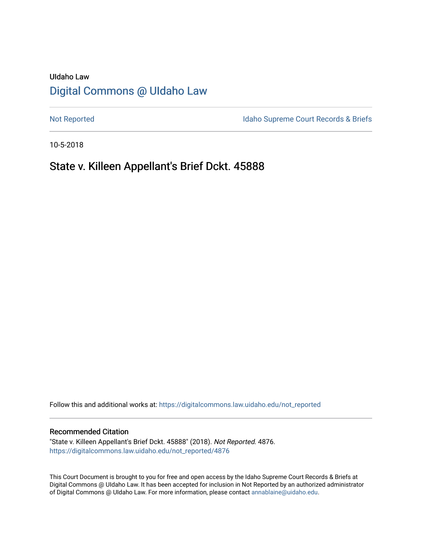# UIdaho Law [Digital Commons @ UIdaho Law](https://digitalcommons.law.uidaho.edu/)

[Not Reported](https://digitalcommons.law.uidaho.edu/not_reported) **Idaho Supreme Court Records & Briefs** 

10-5-2018

## State v. Killeen Appellant's Brief Dckt. 45888

Follow this and additional works at: [https://digitalcommons.law.uidaho.edu/not\\_reported](https://digitalcommons.law.uidaho.edu/not_reported?utm_source=digitalcommons.law.uidaho.edu%2Fnot_reported%2F4876&utm_medium=PDF&utm_campaign=PDFCoverPages) 

#### Recommended Citation

"State v. Killeen Appellant's Brief Dckt. 45888" (2018). Not Reported. 4876. [https://digitalcommons.law.uidaho.edu/not\\_reported/4876](https://digitalcommons.law.uidaho.edu/not_reported/4876?utm_source=digitalcommons.law.uidaho.edu%2Fnot_reported%2F4876&utm_medium=PDF&utm_campaign=PDFCoverPages)

This Court Document is brought to you for free and open access by the Idaho Supreme Court Records & Briefs at Digital Commons @ UIdaho Law. It has been accepted for inclusion in Not Reported by an authorized administrator of Digital Commons @ UIdaho Law. For more information, please contact [annablaine@uidaho.edu](mailto:annablaine@uidaho.edu).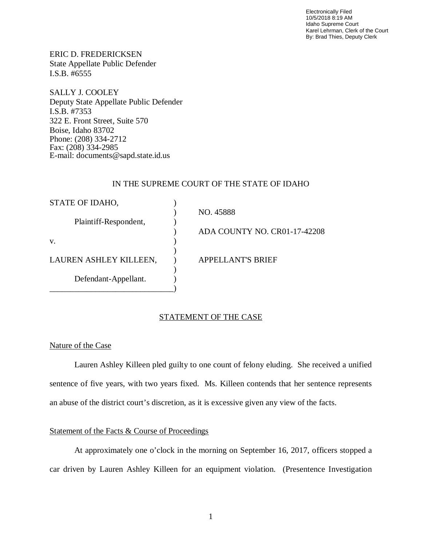Electronically Filed 10/5/2018 8:19 AM Idaho Supreme Court Karel Lehrman, Clerk of the Court By: Brad Thies, Deputy Clerk

ERIC D. FREDERICKSEN State Appellate Public Defender I.S.B. #6555

SALLY J. COOLEY Deputy State Appellate Public Defender I.S.B. #7353 322 E. Front Street, Suite 570 Boise, Idaho 83702 Phone: (208) 334-2712 Fax: (208) 334-2985 E-mail: documents@sapd.state.id.us

### IN THE SUPREME COURT OF THE STATE OF IDAHO

| STATE OF IDAHO,        |                              |
|------------------------|------------------------------|
|                        | NO. 45888                    |
| Plaintiff-Respondent,  |                              |
|                        | ADA COUNTY NO. CR01-17-42208 |
| V.                     |                              |
|                        |                              |
| LAUREN ASHLEY KILLEEN, | <b>APPELLANT'S BRIEF</b>     |
|                        |                              |
| Defendant-Appellant.   |                              |
|                        |                              |

## STATEMENT OF THE CASE

#### Nature of the Case

Lauren Ashley Killeen pled guilty to one count of felony eluding. She received a unified sentence of five years, with two years fixed. Ms. Killeen contends that her sentence represents an abuse of the district court's discretion, as it is excessive given any view of the facts.

## Statement of the Facts & Course of Proceedings

At approximately one o'clock in the morning on September 16, 2017, officers stopped a car driven by Lauren Ashley Killeen for an equipment violation. (Presentence Investigation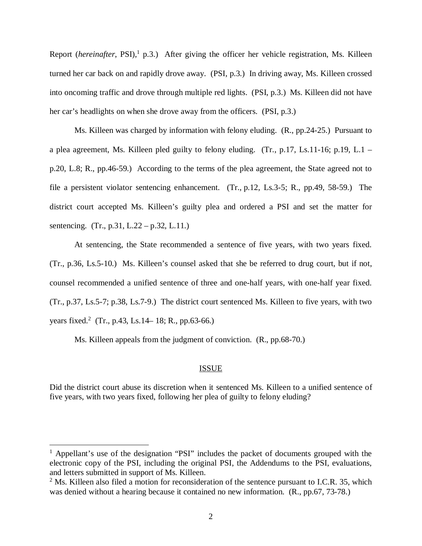Report (*hereinafter*, PSI),<sup>[1](#page-2-0)</sup> p.3.) After giving the officer her vehicle registration, Ms. Killeen turned her car back on and rapidly drove away. (PSI, p.3.) In driving away, Ms. Killeen crossed into oncoming traffic and drove through multiple red lights. (PSI, p.3.) Ms. Killeen did not have her car's headlights on when she drove away from the officers. (PSI, p.3.)

Ms. Killeen was charged by information with felony eluding. (R., pp.24-25.) Pursuant to a plea agreement, Ms. Killeen pled guilty to felony eluding. (Tr., p.17, Ls.11-16; p.19, L.1 – p.20, L.8; R., pp.46-59.) According to the terms of the plea agreement, the State agreed not to file a persistent violator sentencing enhancement. (Tr., p.12, Ls.3-5; R., pp.49, 58-59.) The district court accepted Ms. Killeen's guilty plea and ordered a PSI and set the matter for sentencing. (Tr., p.31, L.22 – p.32, L.11.)

At sentencing, the State recommended a sentence of five years, with two years fixed. (Tr., p.36, Ls.5-10.) Ms. Killeen's counsel asked that she be referred to drug court, but if not, counsel recommended a unified sentence of three and one-half years, with one-half year fixed. (Tr., p.37, Ls.5-7; p.38, Ls.7-9.) The district court sentenced Ms. Killeen to five years, with two years fixed.<sup>[2](#page-2-1)</sup> (Tr., p.43, Ls.14–18; R., pp.63-66.)

Ms. Killeen appeals from the judgment of conviction. (R., pp.68-70.)

#### ISSUE

Did the district court abuse its discretion when it sentenced Ms. Killeen to a unified sentence of five years, with two years fixed, following her plea of guilty to felony eluding?

<span id="page-2-0"></span><sup>&</sup>lt;sup>1</sup> Appellant's use of the designation "PSI" includes the packet of documents grouped with the electronic copy of the PSI, including the original PSI, the Addendums to the PSI, evaluations, and letters submitted in support of Ms. Killeen.

<span id="page-2-1"></span> $2^2$  Ms. Killeen also filed a motion for reconsideration of the sentence pursuant to I.C.R. 35, which was denied without a hearing because it contained no new information. (R., pp.67, 73-78.)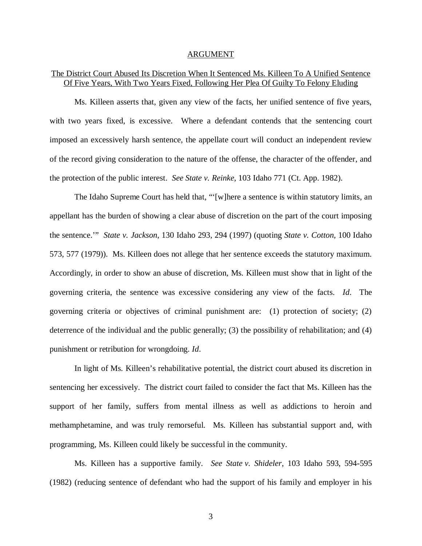#### ARGUMENT

## The District Court Abused Its Discretion When It Sentenced Ms. Killeen To A Unified Sentence Of Five Years, With Two Years Fixed, Following Her Plea Of Guilty To Felony Eluding

Ms. Killeen asserts that, given any view of the facts, her unified sentence of five years, with two years fixed, is excessive. Where a defendant contends that the sentencing court imposed an excessively harsh sentence, the appellate court will conduct an independent review of the record giving consideration to the nature of the offense, the character of the offender, and the protection of the public interest. *See State v. Reinke*, 103 Idaho 771 (Ct. App. 1982).

The Idaho Supreme Court has held that, "'[w]here a sentence is within statutory limits, an appellant has the burden of showing a clear abuse of discretion on the part of the court imposing the sentence.'" *State v. Jackson*, 130 Idaho 293, 294 (1997) (quoting *State v. Cotton*, 100 Idaho 573, 577 (1979)). Ms. Killeen does not allege that her sentence exceeds the statutory maximum. Accordingly, in order to show an abuse of discretion, Ms. Killeen must show that in light of the governing criteria, the sentence was excessive considering any view of the facts. *Id*. The governing criteria or objectives of criminal punishment are: (1) protection of society; (2) deterrence of the individual and the public generally; (3) the possibility of rehabilitation; and (4) punishment or retribution for wrongdoing. *Id*.

In light of Ms. Killeen's rehabilitative potential, the district court abused its discretion in sentencing her excessively. The district court failed to consider the fact that Ms. Killeen has the support of her family, suffers from mental illness as well as addictions to heroin and methamphetamine, and was truly remorseful. Ms. Killeen has substantial support and, with programming, Ms. Killeen could likely be successful in the community.

Ms. Killeen has a supportive family. *See State v. Shideler*, 103 Idaho 593, 594-595 (1982) (reducing sentence of defendant who had the support of his family and employer in his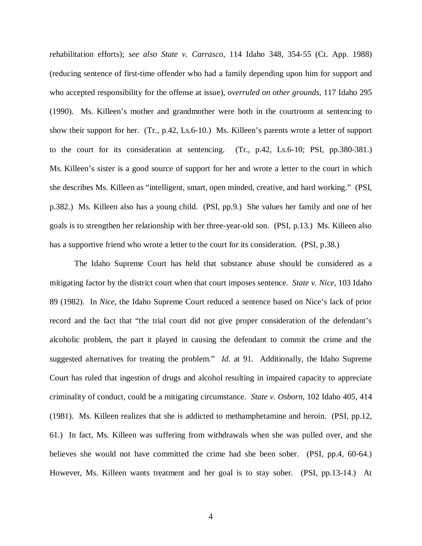rehabilitation efforts); *see also State v. Carrasco*, 114 Idaho 348, 354-55 (Ct. App. 1988) (reducing sentence of first-time offender who had a family depending upon him for support and who accepted responsibility for the offense at issue), *overruled on other grounds*, 117 Idaho 295 (1990). Ms. Killeen's mother and grandmother were both in the courtroom at sentencing to show their support for her. (Tr., p.42, Ls.6-10.) Ms. Killeen's parents wrote a letter of support to the court for its consideration at sentencing. (Tr., p.42, Ls.6-10; PSI, pp.380-381.) Ms. Killeen's sister is a good source of support for her and wrote a letter to the court in which she describes Ms. Killeen as "intelligent, smart, open minded, creative, and hard working." (PSI, p.382.) Ms. Killeen also has a young child. (PSI, pp.9.) She values her family and one of her goals is to strengthen her relationship with her three-year-old son. (PSI, p.13.) Ms. Killeen also has a supportive friend who wrote a letter to the court for its consideration. (PSI, p.38.)

The Idaho Supreme Court has held that substance abuse should be considered as a mitigating factor by the district court when that court imposes sentence. *State v. Nice*, 103 Idaho 89 (1982). In *Nice*, the Idaho Supreme Court reduced a sentence based on Nice's lack of prior record and the fact that "the trial court did not give proper consideration of the defendant's alcoholic problem, the part it played in causing the defendant to commit the crime and the suggested alternatives for treating the problem." *Id.* at 91. Additionally, the Idaho Supreme Court has ruled that ingestion of drugs and alcohol resulting in impaired capacity to appreciate criminality of conduct, could be a mitigating circumstance. *State v. Osborn*, 102 Idaho 405, 414 (1981). Ms. Killeen realizes that she is addicted to methamphetamine and heroin. (PSI, pp.12, 61.) In fact, Ms. Killeen was suffering from withdrawals when she was pulled over, and she believes she would not have committed the crime had she been sober. (PSI, pp.4, 60-64.) However, Ms. Killeen wants treatment and her goal is to stay sober. (PSI, pp.13-14.) At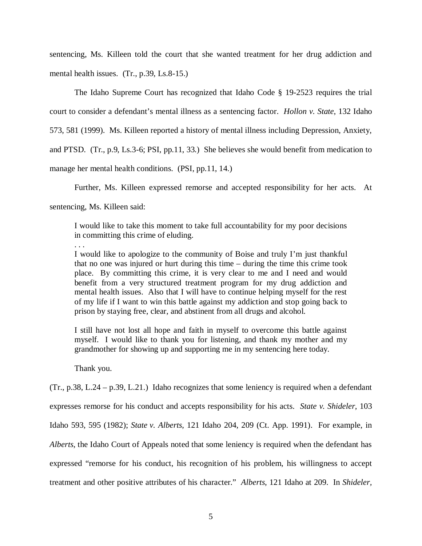sentencing, Ms. Killeen told the court that she wanted treatment for her drug addiction and mental health issues. (Tr., p.39, Ls.8-15.)

The Idaho Supreme Court has recognized that Idaho Code § 19-2523 requires the trial court to consider a defendant's mental illness as a sentencing factor. *Hollon v. State*, 132 Idaho 573, 581 (1999). Ms. Killeen reported a history of mental illness including Depression, Anxiety, and PTSD. (Tr., p.9, Ls.3-6; PSI, pp.11, 33.) She believes she would benefit from medication to manage her mental health conditions. (PSI, pp.11, 14.)

Further, Ms. Killeen expressed remorse and accepted responsibility for her acts. At

sentencing, Ms. Killeen said:

I would like to take this moment to take full accountability for my poor decisions in committing this crime of eluding.

. . .

I would like to apologize to the community of Boise and truly I'm just thankful that no one was injured or hurt during this time – during the time this crime took place. By committing this crime, it is very clear to me and I need and would benefit from a very structured treatment program for my drug addiction and mental health issues. Also that I will have to continue helping myself for the rest of my life if I want to win this battle against my addiction and stop going back to prison by staying free, clear, and abstinent from all drugs and alcohol.

I still have not lost all hope and faith in myself to overcome this battle against myself. I would like to thank you for listening, and thank my mother and my grandmother for showing up and supporting me in my sentencing here today.

Thank you.

(Tr., p.38, L.24 – p.39, L.21.) Idaho recognizes that some leniency is required when a defendant

expresses remorse for his conduct and accepts responsibility for his acts. *State v. Shideler*, 103

Idaho 593, 595 (1982); *State v. Alberts*, 121 Idaho 204, 209 (Ct. App. 1991). For example, in

*Alberts*, the Idaho Court of Appeals noted that some leniency is required when the defendant has

expressed "remorse for his conduct, his recognition of his problem, his willingness to accept

treatment and other positive attributes of his character." *Alberts*, 121 Idaho at 209. In *Shideler,*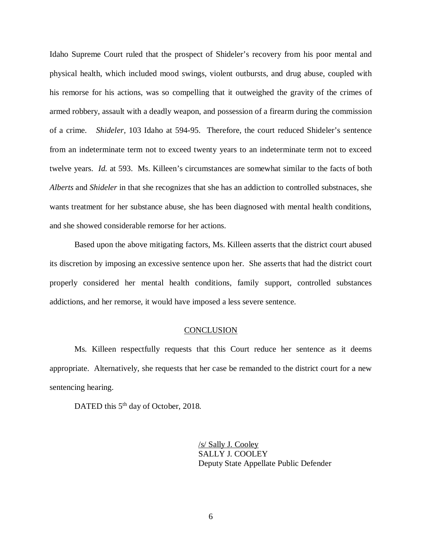Idaho Supreme Court ruled that the prospect of Shideler's recovery from his poor mental and physical health, which included mood swings, violent outbursts, and drug abuse, coupled with his remorse for his actions, was so compelling that it outweighed the gravity of the crimes of armed robbery, assault with a deadly weapon, and possession of a firearm during the commission of a crime. *Shideler,* 103 Idaho at 594-95. Therefore, the court reduced Shideler's sentence from an indeterminate term not to exceed twenty years to an indeterminate term not to exceed twelve years. *Id.* at 593. Ms. Killeen's circumstances are somewhat similar to the facts of both *Alberts* and *Shideler* in that she recognizes that she has an addiction to controlled substnaces, she wants treatment for her substance abuse, she has been diagnosed with mental health conditions, and she showed considerable remorse for her actions.

Based upon the above mitigating factors, Ms. Killeen asserts that the district court abused its discretion by imposing an excessive sentence upon her. She asserts that had the district court properly considered her mental health conditions, family support, controlled substances addictions, and her remorse, it would have imposed a less severe sentence.

#### **CONCLUSION**

Ms. Killeen respectfully requests that this Court reduce her sentence as it deems appropriate. Alternatively, she requests that her case be remanded to the district court for a new sentencing hearing.

DATED this 5<sup>th</sup> day of October, 2018.

/s/ Sally J. Cooley SALLY J. COOLEY Deputy State Appellate Public Defender